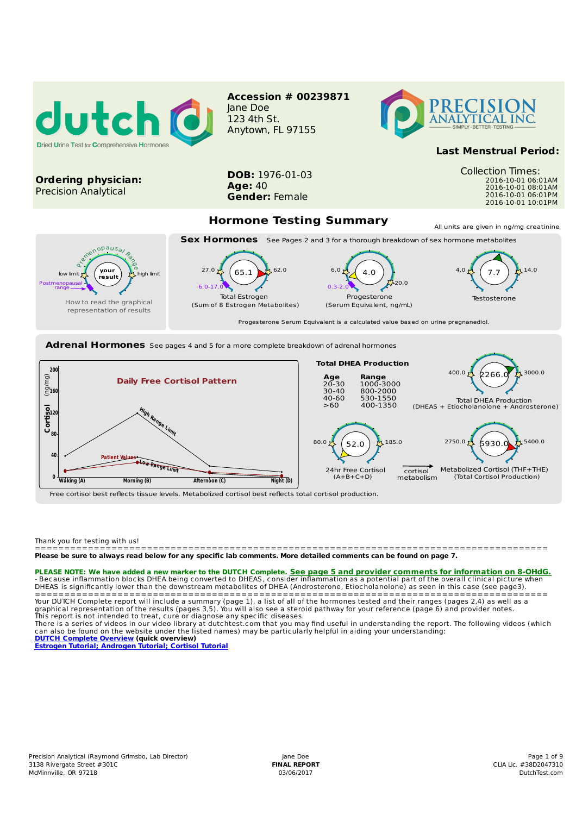

Progesterone Serum Equivalent is a calculated value based on urine pregnanediol.

**Adrenal Hormones** See pages 4 and 5 for a more complete breakdown of adrenal hormones



(Sum of 8 Estrogen Metabolites) (Serum Equivalent, ng/mL)

Free cortisol best reflects tissue levels. Metabolized cortisol best reflects total cortisol production.

Thank you for testing with us!

How to read the graphical representation of results

======================================================================================= Please be sure to always read below for any specific lab comments. More detailed comments can be found on page 7.

**PLEASE NOTE: We have added a new marker to the DUTCH Complete. <u>See page 5 and provider comments for information on 8-OHdG.</u><br>- Because inflammation blocks DHEA being converted to DHEAS, consider inflammation as a potentia** 

======================================================================================= Your DUTCH Complete report will include a summary (page 1), a list of all of the hormones tested and their ranges (pages 2,4) as well as a graphical representation of the results (pages 3,5). You will also see a steroid pathway for your reference (page 6) and provider notes. This report is not intended to treat, cure or diagnose any specific diseases.

There is a series of videos in our video library at dutchtest.com that you may find useful in understanding the report. The following videos (which<br>can also be found on the website under the listed names) may be particular

**DUTCH Complete Overview (quick overview) Estrogen Tutorial; Androgen Tutorial; Cortisol Tutorial**

Testosterone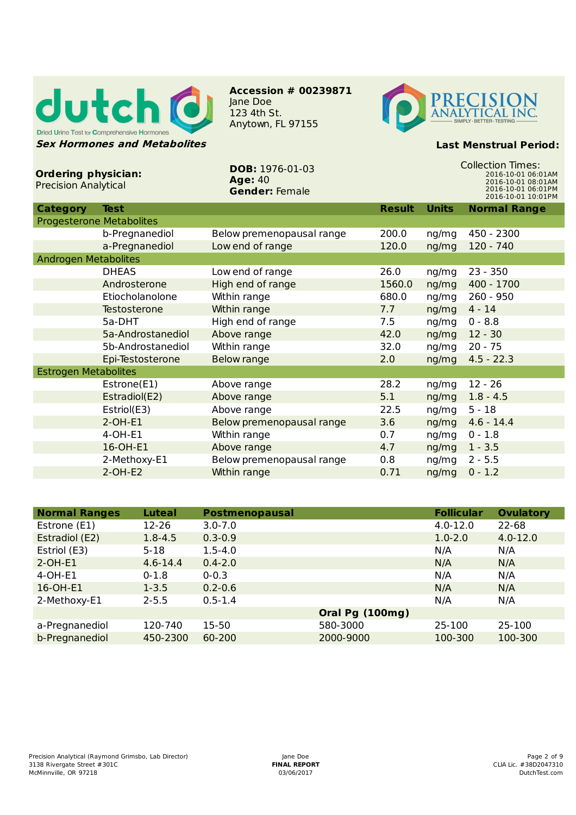

**Accession # 00239871** Jane Doe 123 4th St. Anytown, FL 97155



## **Last Menstrual Period:**

| <b>Ordering physician:</b><br><b>Precision Analytical</b> |                     | <b>DOB: 1976-01-03</b><br><b>Age: 40</b><br><b>Gender: Female</b> | <b>Collection Times:</b><br>2016-10-01 06:01AM<br>2016-10-01 08:01AM<br>2016-10-01 06:01PM<br>2016-10-01 10:01PM |              |                     |  |
|-----------------------------------------------------------|---------------------|-------------------------------------------------------------------|------------------------------------------------------------------------------------------------------------------|--------------|---------------------|--|
| <b>Category</b>                                           | <b>Test</b>         |                                                                   | <b>Result</b>                                                                                                    | <b>Units</b> | <b>Normal Range</b> |  |
| <b>Progesterone Metabolites</b>                           |                     |                                                                   |                                                                                                                  |              |                     |  |
|                                                           | b-Pregnanediol      | Below premenopausal range                                         | 200.0                                                                                                            | ng/mg        | 450 - 2300          |  |
|                                                           | a-Pregnanediol      | Low end of range                                                  | 120.0                                                                                                            | ng/mg        | 120 - 740           |  |
| <b>Androgen Metabolites</b>                               |                     |                                                                   |                                                                                                                  |              |                     |  |
|                                                           | <b>DHEAS</b>        | Low end of range                                                  | 26.0                                                                                                             | ng/mg        | $23 - 350$          |  |
|                                                           | Androsterone        | High end of range                                                 | 1560.0                                                                                                           | ng/mg        | 400 - 1700          |  |
|                                                           | Etiocholanolone     | Within range                                                      | 680.0                                                                                                            | ng/mg        | $260 - 950$         |  |
|                                                           | <b>Testosterone</b> | Within range                                                      | 7.7                                                                                                              | ng/mg        | $4 - 14$            |  |
|                                                           | 5a-DHT              | High end of range                                                 | 7.5                                                                                                              | ng/mg        | $0 - 8.8$           |  |
|                                                           | 5a-Androstanediol   | Above range                                                       | 42.0                                                                                                             | ng/mg        | $12 - 30$           |  |
|                                                           | 5b-Androstanediol   | Within range                                                      | 32.0                                                                                                             | ng/mg        | $20 - 75$           |  |
|                                                           | Epi-Testosterone    | <b>Below range</b>                                                | 2.0                                                                                                              | ng/mg        | $4.5 - 22.3$        |  |
| <b>Estrogen Metabolites</b>                               |                     |                                                                   |                                                                                                                  |              |                     |  |
|                                                           | Estrone(E1)         | Above range                                                       | 28.2                                                                                                             | ng/mg        | $12 - 26$           |  |
|                                                           | Estradiol(E2)       | Above range                                                       | 5.1                                                                                                              | ng/mg        | $1.8 - 4.5$         |  |
|                                                           | Estriol(E3)         | Above range                                                       | 22.5                                                                                                             | ng/mg        | $5 - 18$            |  |
|                                                           | $2-OH-E1$           | Below premenopausal range                                         | 3.6                                                                                                              | ng/mg        | $4.6 - 14.4$        |  |
|                                                           | 4-OH-E1             | Within range                                                      | 0.7                                                                                                              | ng/mg        | $0 - 1.8$           |  |
|                                                           | 16-OH-E1            | Above range                                                       | 4.7                                                                                                              | ng/mg        | $1 - 3.5$           |  |
|                                                           | 2-Methoxy-E1        | Below premenopausal range                                         | 0.8                                                                                                              | ng/mg        | $2 - 5.5$           |  |
|                                                           | $2-OH-E2$           | Within range                                                      | 0.71                                                                                                             | ng/mg        | $0 - 1.2$           |  |

| <b>Normal Ranges</b> | <b>Luteal</b> | <b>Postmenopausal</b> |                 | <b>Follicular</b> | <b>Ovulatory</b> |
|----------------------|---------------|-----------------------|-----------------|-------------------|------------------|
| Estrone (E1)         | 12-26         | $3.0 - 7.0$           |                 | $4.0 - 12.0$      | 22-68            |
| Estradiol (E2)       | $1.8 - 4.5$   | $0.3 - 0.9$           |                 | $1.0 - 2.0$       | $4.0 - 12.0$     |
| Estriol (E3)         | $5 - 18$      | $1.5 - 4.0$           |                 | N/A               | N/A              |
| $2-OH-E1$            | $4.6 - 14.4$  | $0.4 - 2.0$           |                 | N/A               | N/A              |
| $4$ -OH-E1           | $0 - 1.8$     | $0 - 0.3$             |                 | N/A               | N/A              |
| 16-OH-E1             | $1 - 3.5$     | $0.2 - 0.6$           |                 | N/A               | N/A              |
| 2-Methoxy-E1         | $2 - 5.5$     | $0.5 - 1.4$           |                 | N/A               | N/A              |
|                      |               |                       | Oral Pg (100mg) |                   |                  |
| a-Pregnanediol       | 120-740       | $15 - 50$             | 580-3000        | 25-100            | 25-100           |
| b-Pregnanediol       | 450-2300      | 60-200                | 2000-9000       | 100-300           | 100-300          |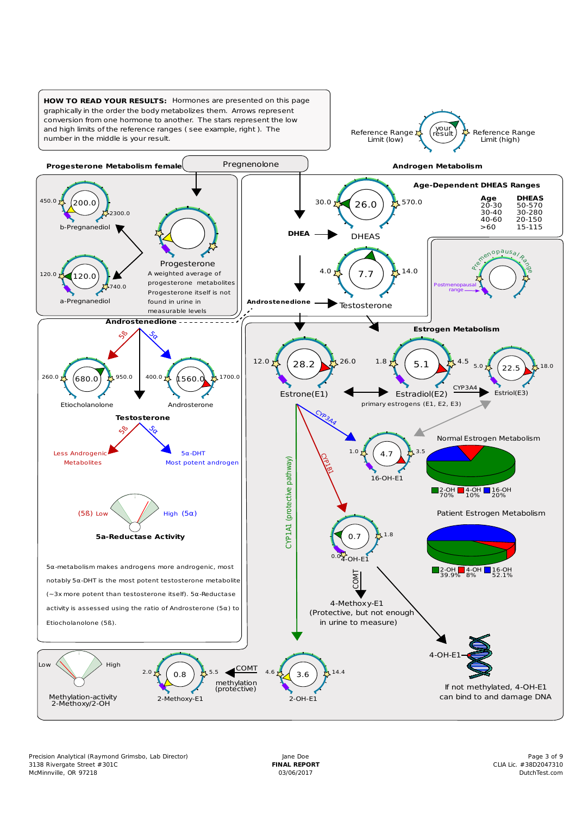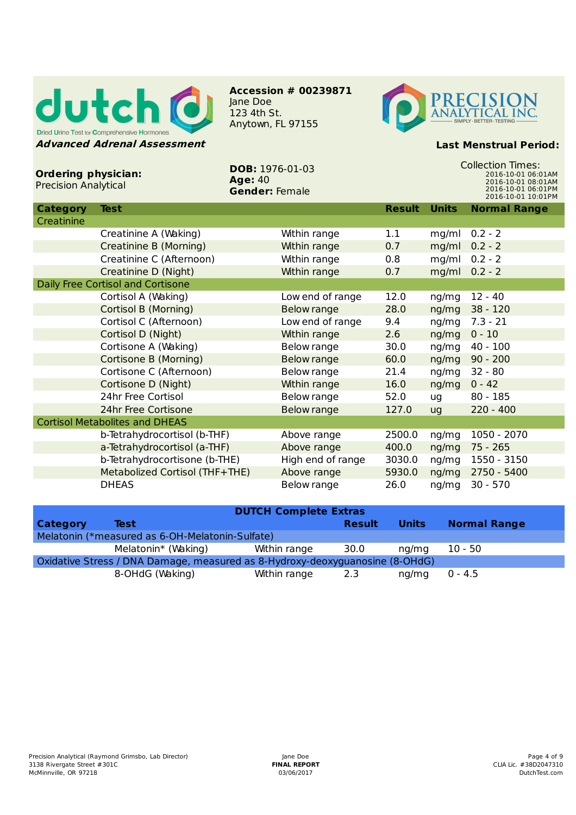

**Accession # 00239871** Jane Doe 123 4th St. Anytown, FL 97155



## **Last Menstrual Period:**

| <b>Ordering physician:</b><br><b>Precision Analytical</b> |                                | <b>DOB: 1976-01-03</b><br><b>Age: 40</b><br><b>Gender: Female</b> |                     | <b>Collection Times:</b><br>2016-10-01 06:01AM<br>2016-10-01 08:01AM<br>2016-10-01 06:01PM<br>2016-10-01 10:01PM |              |                     |  |
|-----------------------------------------------------------|--------------------------------|-------------------------------------------------------------------|---------------------|------------------------------------------------------------------------------------------------------------------|--------------|---------------------|--|
| <b>Category</b>                                           | <b>Test</b>                    |                                                                   |                     | <b>Result</b>                                                                                                    | <b>Units</b> | <b>Normal Range</b> |  |
| Creatinine                                                |                                |                                                                   |                     |                                                                                                                  |              |                     |  |
|                                                           | Creatinine A (Waking)          |                                                                   | Within range        | 1.1                                                                                                              | mg/ml        | $0.2 - 2$           |  |
|                                                           | Creatinine B (Morning)         |                                                                   | Within range        | 0.7                                                                                                              | mg/ml        | $0.2 - 2$           |  |
|                                                           | Creatinine C (Afternoon)       |                                                                   | Within range        | 0.8                                                                                                              | mg/ml        | $0.2 - 2$           |  |
|                                                           | Creatinine D (Night)           |                                                                   | <b>Within range</b> | 0.7                                                                                                              | mg/ml        | $0.2 - 2$           |  |
| Daily Free Cortisol and Cortisone                         |                                |                                                                   |                     |                                                                                                                  |              |                     |  |
|                                                           | Cortisol A (Waking)            |                                                                   | Low end of range    | 12.0                                                                                                             | ng/mg        | $12 - 40$           |  |
|                                                           | Cortisol B (Morning)           |                                                                   | <b>Below range</b>  | 28.0                                                                                                             | ng/mg        | $38 - 120$          |  |
|                                                           | Cortisol C (Afternoon)         |                                                                   | Low end of range    | 9.4                                                                                                              | ng/mg        | $7.3 - 21$          |  |
|                                                           | Cortisol D (Night)             |                                                                   | Within range        | 2.6                                                                                                              | ng/mg        | $0 - 10$            |  |
|                                                           | Cortisone A (Waking)           |                                                                   | Below range         | 30.0                                                                                                             | ng/mg        | $40 - 100$          |  |
|                                                           | Cortisone B (Morning)          |                                                                   | <b>Below range</b>  | 60.0                                                                                                             | ng/mg        | $90 - 200$          |  |
|                                                           | Cortisone C (Afternoon)        |                                                                   | Below range         | 21.4                                                                                                             | ng/mg        | $32 - 80$           |  |
|                                                           | Cortisone D (Night)            |                                                                   | Within range        | 16.0                                                                                                             | ng/mg        | $0 - 42$            |  |
|                                                           | 24hr Free Cortisol             |                                                                   | Below range         | 52.0                                                                                                             | ug           | $80 - 185$          |  |
|                                                           | 24hr Free Cortisone            |                                                                   | <b>Below range</b>  | 127.0                                                                                                            | ug           | $220 - 400$         |  |
| <b>Cortisol Metabolites and DHEAS</b>                     |                                |                                                                   |                     |                                                                                                                  |              |                     |  |
|                                                           | b-Tetrahydrocortisol (b-THF)   |                                                                   | Above range         | 2500.0                                                                                                           | ng/mg        | 1050 - 2070         |  |
|                                                           | a-Tetrahydrocortisol (a-THF)   |                                                                   | Above range         | 400.0                                                                                                            | ng/mg        | $75 - 265$          |  |
|                                                           | b-Tetrahydrocortisone (b-THE)  |                                                                   | High end of range   | 3030.0                                                                                                           | ng/mg        | 1550 - 3150         |  |
|                                                           | Metabolized Cortisol (THF+THE) |                                                                   | Above range         | 5930.0                                                                                                           | ng/mg        | 2750 - 5400         |  |
|                                                           | <b>DHEAS</b>                   |                                                                   | Below range         | 26.0                                                                                                             | ng/mg        | $30 - 570$          |  |

| <b>DUTCH Complete Extras</b>                                                 |                     |              |               |              |                     |  |  |  |
|------------------------------------------------------------------------------|---------------------|--------------|---------------|--------------|---------------------|--|--|--|
| <b>Category</b>                                                              | Test                |              | <b>Result</b> | <b>Units</b> | <b>Normal Range</b> |  |  |  |
| Melatonin (*measured as 6-OH-Melatonin-Sulfate)                              |                     |              |               |              |                     |  |  |  |
|                                                                              | Melatonin* (Waking) | Within range | 30.0          | ng/mg        | $10 - 50$           |  |  |  |
| Oxidative Stress / DNA Damage, measured as 8-Hydroxy-deoxyguanosine (8-OHdG) |                     |              |               |              |                     |  |  |  |
|                                                                              | 8-OHdG (Waking)     | Within range | - 2.3         | ng/mg        | $0 - 4.5$           |  |  |  |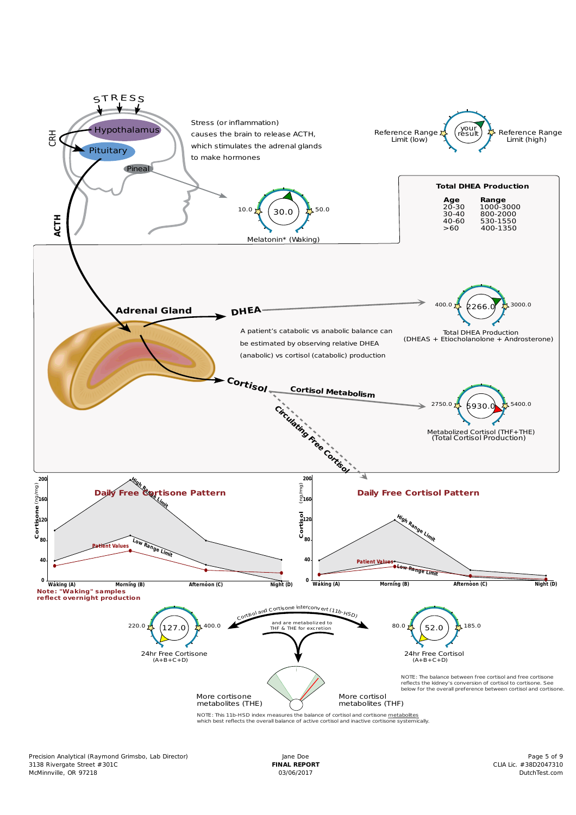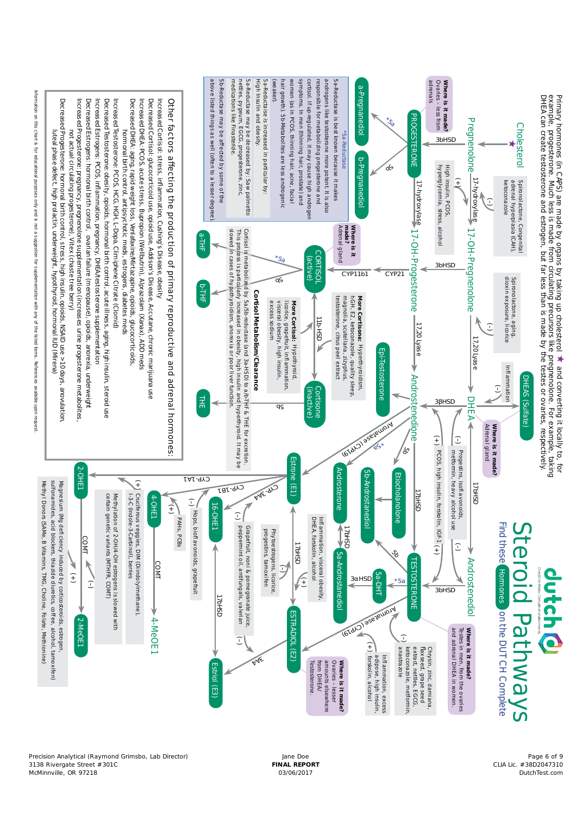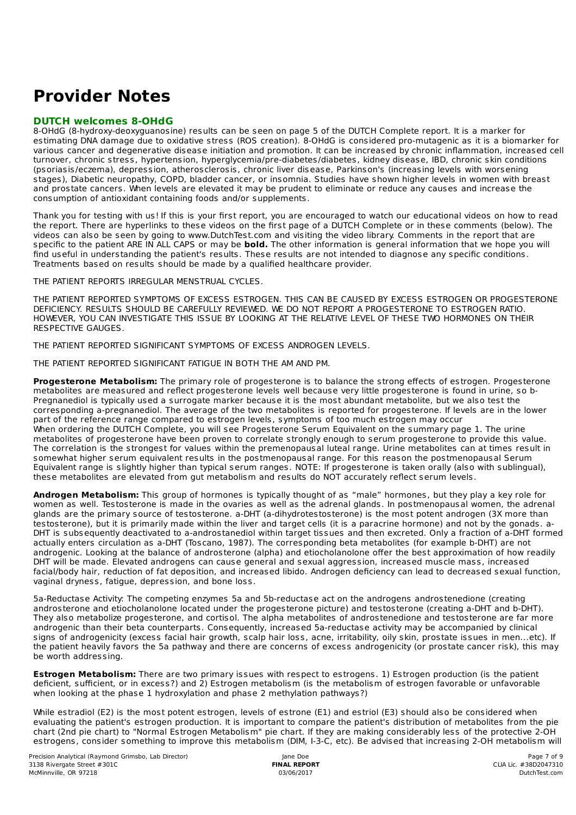## **Provider Notes**

## **DUTCH welcomes 8-OHdG**

8-OHdG (8-hydroxy-deoxyguanosine) results can be seen on page 5 of the DUTCH Complete report. It is a marker for estimating DNA damage due to oxidative stress (ROS creation). 8-OHdG is considered pro-mutagenic as it is a biomarker for various cancer and degenerative disease initiation and promotion. It can be increased by chronic inflammation, increased cell turnover, chronic stress, hypertension, hyperglycemia/pre-diabetes/diabetes, kidney disease, IBD, chronic skin conditions (psoriasis/eczema), depression, atherosclerosis, chronic liver disease, Parkinson's (increasing levels with worsening stages), Diabetic neuropathy, COPD, bladder cancer, or insomnia. Studies have shown higher levels in women with breast and prostate cancers. When levels are elevated it may be prudent to eliminate or reduce any causes and increase the consumption of antioxidant containing foods and/or supplements.

Thank you for testing with us! If this is your first report, you are encouraged to watch our educational videos on how to read the report. There are hyperlinks to these videos on the first page of a DUTCH Complete or in these comments (below). The videos can also be seen by going to www.DutchTest.com and visiting the video library. Comments in the report that are specific to the patient ARE IN ALL CAPS or may be **bold.** The other information is general information that we hope you will find useful in understanding the patient's results. These results are not intended to diagnose any specific conditions. Treatments based on results should be made by a qualified healthcare provider.

THE PATIENT REPORTS IRREGULAR MENSTRUAL CYCLES.

THE PATIENT REPORTED SYMPTOMS OF EXCESS ESTROGEN. THIS CAN BE CAUSED BY EXCESS ESTROGEN OR PROGESTERONE DEFICIENCY. RESULTS SHOULD BE CAREFULLY REVIEWED. WE DO NOT REPORT A PROGESTERONE TO ESTROGEN RATIO. HOWEVER, YOU CAN INVESTIGATE THIS ISSUE BY LOOKING AT THE RELATIVE LEVEL OF THESE TWO HORMONES ON THEIR RESPECTIVE GAUGES.

THE PATIENT REPORTED SIGNIFICANT SYMPTOMS OF EXCESS ANDROGEN LEVELS.

THE PATIENT REPORTED SIGNIFICANT FATIGUE IN BOTH THE AM AND PM.

**Progesterone Metabolism:** The primary role of progesterone is to balance the strong effects of estrogen. Progesterone metabolites are measured and reflect progesterone levels well because very little progesterone is found in urine, so b-Pregnanediol is typically used a surrogate marker because it is the most abundant metabolite, but we also test the corresponding a-pregnanediol. The average of the two metabolites is reported for progesterone. If levels are in the lower part of the reference range compared to estrogen levels, symptoms of too much estrogen may occur When ordering the DUTCH Complete, you will see Progesterone Serum Equivalent on the summary page 1. The urine metabolites of progesterone have been proven to correlate strongly enough to serum progesterone to provide this value. The correlation is the strongest for values within the premenopausal luteal range. Urine metabolites can at times result in somewhat higher serum equivalent results in the postmenopausal range. For this reason the postmenopausal Serum Equivalent range is slightly higher than typical serum ranges. NOTE: If progesterone is taken orally (also with sublingual), these metabolites are elevated from gut metabolism and results do NOT accurately reflect serum levels.

**Androgen Metabolism:** This group of hormones is typically thought of as "male" hormones, but they play a key role for women as well. Testosterone is made in the ovaries as well as the adrenal glands. In postmenopausal women, the adrenal glands are the primary source of testosterone. a-DHT (a-dihydrotestosterone) is the most potent androgen (3X more than testosterone), but it is primarily made within the liver and target cells (it is a paracrine hormone) and not by the gonads. a-DHT is subsequently deactivated to a-androstanediol within target tissues and then excreted. Only a fraction of a-DHT formed actually enters circulation as a-DHT (Toscano, 1987). The corresponding beta metabolites (for example b-DHT) are not androgenic. Looking at the balance of androsterone (alpha) and etiocholanolone offer the best approximation of how readily DHT will be made. Elevated androgens can cause general and sexual aggression, increased muscle mass, increased facial/body hair, reduction of fat deposition, and increased libido. Androgen deficiency can lead to decreased sexual function, vaginal dryness, fatigue, depression, and bone loss.

5a-Reductase Activity: The competing enzymes 5a and 5b-reductase act on the androgens androstenedione (creating androsterone and etiocholanolone located under the progesterone picture) and testosterone (creating a-DHT and b-DHT). They also metabolize progesterone, and cortisol. The alpha metabolites of androstenedione and testosterone are far more androgenic than their beta counterparts. Consequently, increased 5a-reductase activity may be accompanied by clinical signs of androgenicity (excess facial hair growth, scalp hair loss, acne, irritability, oily skin, prostate issues in men...etc). If the patient heavily favors the 5a pathway and there are concerns of excess androgenicity (or prostate cancer risk), this may be worth addressing.

**Estrogen Metabolism:** There are two primary issues with respect to estrogens. 1) Estrogen production (is the patient deficient, sufficient, or in excess?) and 2) Estrogen metabolism (is the metabolism of estrogen favorable or unfavorable when looking at the phase 1 hydroxylation and phase 2 methylation pathways?)

While estradiol (E2) is the most potent estrogen, levels of estrone (E1) and estriol (E3) should also be considered when evaluating the patient's estrogen production. It is important to compare the patient's distribution of metabolites from the pie chart (2nd pie chart) to "Normal Estrogen Metabolism" pie chart. If they are making considerably less of the protective 2-OH estrogens, consider something to improve this metabolism (DIM, I-3-C, etc). Be advised that increasing 2-OH metabolism will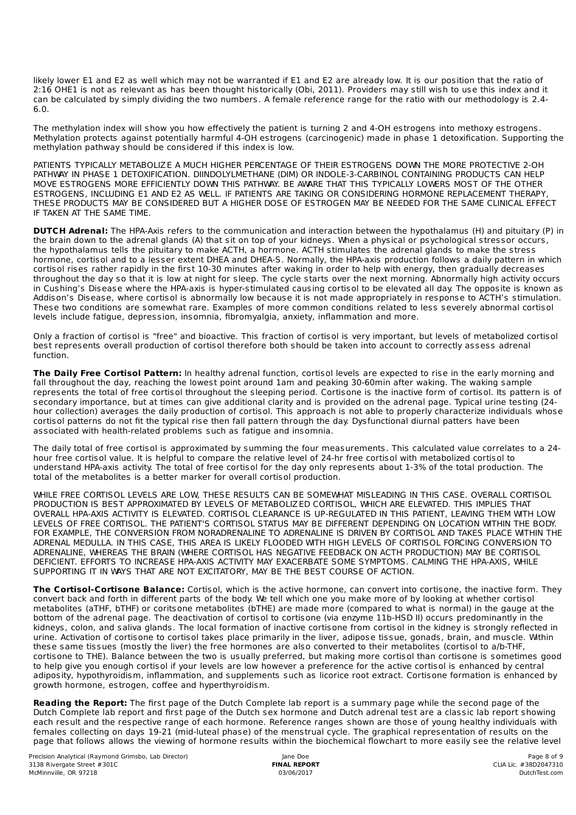likely lower E1 and E2 as well which may not be warranted if E1 and E2 are already low. It is our position that the ratio of 2:16 OHE1 is not as relevant as has been thought historically (Obi, 2011). Providers may still wish to use this index and it can be calculated by simply dividing the two numbers. A female reference range for the ratio with our methodology is 2.4- 6.0.

The methylation index will show you how effectively the patient is turning 2 and 4-OH estrogens into methoxy estrogens. Methylation protects against potentially harmful 4-OH estrogens (carcinogenic) made in phase 1 detoxification. Supporting the methylation pathway should be considered if this index is low.

PATIENTS TYPICALLY METABOLIZE A MUCH HIGHER PERCENTAGE OF THEIR ESTROGENS DOWN THE MORE PROTECTIVE 2-OH PATHWAY IN PHASE 1 DETOXIFICATION. DIINDOLYLMETHANE (DIM) OR INDOLE-3-CARBINOL CONTAINING PRODUCTS CAN HELP MOVE ESTROGENS MORE EFFICIENTLY DOWN THIS PATHWAY. BE AWARE THAT THIS TYPICALLY LOWERS MOST OF THE OTHER ESTROGENS, INCLUDING E1 AND E2 AS WELL. IF PATIENTS ARE TAKING OR CONSIDERING HORMONE REPLACEMENT THERAPY, THESE PRODUCTS MAY BE CONSIDERED BUT A HIGHER DOSE OF ESTROGEN MAY BE NEEDED FOR THE SAME CLINICAL EFFECT IF TAKEN AT THE SAME TIME.

**DUTCH Adrenal:** The HPA-Axis refers to the communication and interaction between the hypothalamus (H) and pituitary (P) in the brain down to the adrenal glands (A) that sit on top of your kidneys. When a physical or psychological stressor occurs, the hypothalamus tells the pituitary to make ACTH, a hormone. ACTH stimulates the adrenal glands to make the stress hormone, cortisol and to a lesser extent DHEA and DHEA-S. Normally, the HPA-axis production follows a daily pattern in which cortisol rises rather rapidly in the first 10-30 minutes after waking in order to help with energy, then gradually decreases throughout the day so that it is low at night for sleep. The cycle starts over the next morning. Abnormally high activity occurs in Cushing's Disease where the HPA-axis is hyper-stimulated causing cortisol to be elevated all day. The opposite is known as Addison's Disease, where cortisol is abnormally low because it is not made appropriately in response to ACTH's stimulation. These two conditions are somewhat rare. Examples of more common conditions related to less severely abnormal cortisol levels include fatigue, depression, insomnia, fibromyalgia, anxiety, inflammation and more.

Only a fraction of cortisol is "free" and bioactive. This fraction of cortisol is very important, but levels of metabolized cortisol best represents overall production of cortisol therefore both should be taken into account to correctly assess adrenal function.

**The Daily Free Cortisol Pattern:** In healthy adrenal function, cortisol levels are expected to rise in the early morning and fall throughout the day, reaching the lowest point around 1am and peaking 30-60min after waking. The waking sample represents the total of free cortisol throughout the sleeping period. Cortisone is the inactive form of cortisol. Its pattern is of secondary importance, but at times can give additional clarity and is provided on the adrenal page. Typical urine testing (24 hour collection) averages the daily production of cortisol. This approach is not able to properly characterize individuals whose cortisol patterns do not fit the typical rise then fall pattern through the day. Dysfunctional diurnal patters have been associated with health-related problems such as fatigue and insomnia.

The daily total of free cortisol is approximated by summing the four measurements. This calculated value correlates to a 24 hour free cortisol value. It is helpful to compare the relative level of 24-hr free cortisol with metabolized cortisol to understand HPA-axis activity. The total of free cortisol for the day only represents about 1-3% of the total production. The total of the metabolites is a better marker for overall cortisol production.

WHILE FREE CORTISOL LEVELS ARE LOW, THESE RESULTS CAN BE SOMEWHAT MISLEADING IN THIS CASE. OVERALL CORTISOL PRODUCTION IS BEST APPROXIMATED BY LEVELS OF METABOLIZED CORTISOL, WHICH ARE ELEVATED. THIS IMPLIES THAT OVERALL HPA-AXIS ACTIVITY IS ELEVATED. CORTISOL CLEARANCE IS UP-REGULATED IN THIS PATIENT, LEAVING THEM WITH LOW LEVELS OF FREE CORTISOL. THE PATIENT'S CORTISOL STATUS MAY BE DIFFERENT DEPENDING ON LOCATION WITHIN THE BODY. FOR EXAMPLE, THE CONVERSION FROM NORADRENALINE TO ADRENALINE IS DRIVEN BY CORTISOL AND TAKES PLACE WITHIN THE ADRENAL MEDULLA. IN THIS CASE, THIS AREA IS LIKELY FLOODED WITH HIGH LEVELS OF CORTISOL FORCING CONVERSION TO ADRENALINE, WHEREAS THE BRAIN (WHERE CORTISOL HAS NEGATIVE FEEDBACK ON ACTH PRODUCTION) MAY BE CORTISOL DEFICIENT. EFFORTS TO INCREASE HPA-AXIS ACTIVITY MAY EXACERBATE SOME SYMPTOMS. CALMING THE HPA-AXIS, WHILE SUPPORTING IT IN WAYS THAT ARE NOT EXCITATORY, MAY BE THE BEST COURSE OF ACTION.

**The Cortisol-Cortisone Balance:** Cortisol, which is the active hormone, can convert into cortisone, the inactive form. They convert back and forth in different parts of the body. We tell which one you make more of by looking at whether cortisol metabolites (aTHF, bTHF) or coritsone metabolites (bTHE) are made more (compared to what is normal) in the gauge at the bottom of the adrenal page. The deactivation of cortisol to cortisone (via enzyme 11b-HSD II) occurs predominantly in the kidneys, colon, and saliva glands. The local formation of inactive cortisone from cortisol in the kidney is strongly reflected in urine. Activation of cortisone to cortisol takes place primarily in the liver, adipose tissue, gonads, brain, and muscle. Within these same tissues (mostly the liver) the free hormones are also converted to their metabolites (cortisol to a/b-THF, cortisone to THE). Balance between the two is usually preferred, but making more cortisol than cortisone is sometimes good to help give you enough cortisol if your levels are low however a preference for the active cortisol is enhanced by central adiposity, hypothyroidism, inflammation, and supplements such as licorice root extract. Cortisone formation is enhanced by growth hormone, estrogen, coffee and hyperthyroidism.

**Reading the Report:** The first page of the Dutch Complete lab report is a summary page while the second page of the Dutch Complete lab report and first page of the Dutch sex hormone and Dutch adrenal test are a classic lab report showing each result and the respective range of each hormone. Reference ranges shown are those of young healthy individuals with females collecting on days 19-21 (mid-luteal phase) of the menstrual cycle. The graphical representation of results on the page that follows allows the viewing of hormone results within the biochemical flowchart to more easily see the relative level